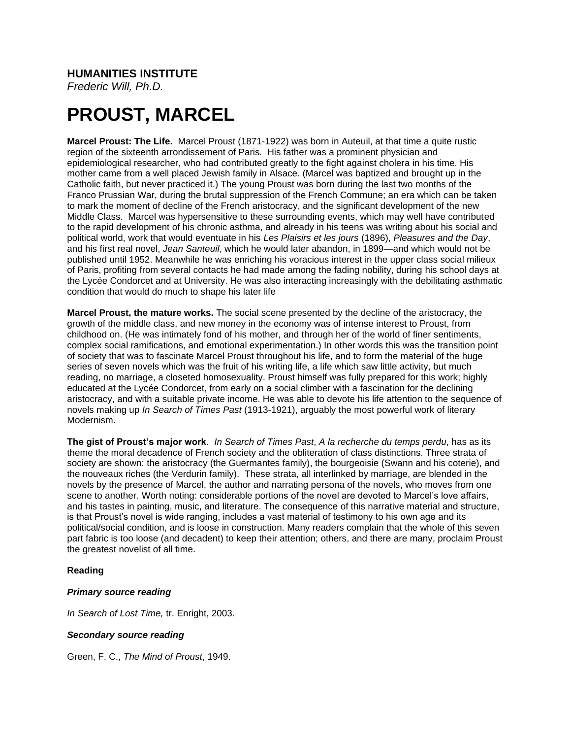# **HUMANITIES INSTITUTE**

*Frederic Will, Ph.D.*

# **PROUST, MARCEL**

**Marcel Proust: The Life.** Marcel Proust (1871-1922) was born in Auteuil, at that time a quite rustic region of the sixteenth arrondissement of Paris. His father was a prominent physician and epidemiological researcher, who had contributed greatly to the fight against cholera in his time. His mother came from a well placed Jewish family in Alsace. (Marcel was baptized and brought up in the Catholic faith, but never practiced it.) The young Proust was born during the last two months of the Franco Prussian War, during the brutal suppression of the French Commune; an era which can be taken to mark the moment of decline of the French aristocracy, and the significant development of the new Middle Class. Marcel was hypersensitive to these surrounding events, which may well have contributed to the rapid development of his chronic asthma, and already in his teens was writing about his social and political world, work that would eventuate in his *Les Plaisirs et les jours* (1896), *Pleasures and the Day*, and his first real novel, *Jean Santeuil*, which he would later abandon, in 1899—and which would not be published until 1952. Meanwhile he was enriching his voracious interest in the upper class social milieux of Paris, profiting from several contacts he had made among the fading nobility, during his school days at the Lycée Condorcet and at University. He was also interacting increasingly with the debilitating asthmatic condition that would do much to shape his later life

**Marcel Proust, the mature works.** The social scene presented by the decline of the aristocracy, the growth of the middle class, and new money in the economy was of intense interest to Proust, from childhood on. (He was intimately fond of his mother, and through her of the world of finer sentiments, complex social ramifications, and emotional experimentation.) In other words this was the transition point of society that was to fascinate Marcel Proust throughout his life, and to form the material of the huge series of seven novels which was the fruit of his writing life, a life which saw little activity, but much reading, no marriage, a closeted homosexuality. Proust himself was fully prepared for this work; highly educated at the Lycée Condorcet, from early on a social climber with a fascination for the declining aristocracy, and with a suitable private income. He was able to devote his life attention to the sequence of novels making up *In Search of Times Past* (1913-1921), arguably the most powerful work of literary Modernism.

**The gist of Proust's major work***. In Search of Times Past*, *A la recherche du temps perdu*, has as its theme the moral decadence of French society and the obliteration of class distinctions. Three strata of society are shown: the aristocracy (the Guermantes family), the bourgeoisie (Swann and his coterie), and the nouveaux riches (the Verdurin family). These strata, all interlinked by marriage, are blended in the novels by the presence of Marcel, the author and narrating persona of the novels, who moves from one scene to another. Worth noting: considerable portions of the novel are devoted to Marcel's love affairs, and his tastes in painting, music, and literature. The consequence of this narrative material and structure, is that Proust's novel is wide ranging, includes a vast material of testimony to his own age and its political/social condition, and is loose in construction. Many readers complain that the whole of this seven part fabric is too loose (and decadent) to keep their attention; others, and there are many, proclaim Proust the greatest novelist of all time.

# **Reading**

# *Primary source reading*

*In Search of Lost Time,* tr. Enright, 2003.

# *Secondary source reading*

Green, F. C., *The Mind of Proust*, 1949.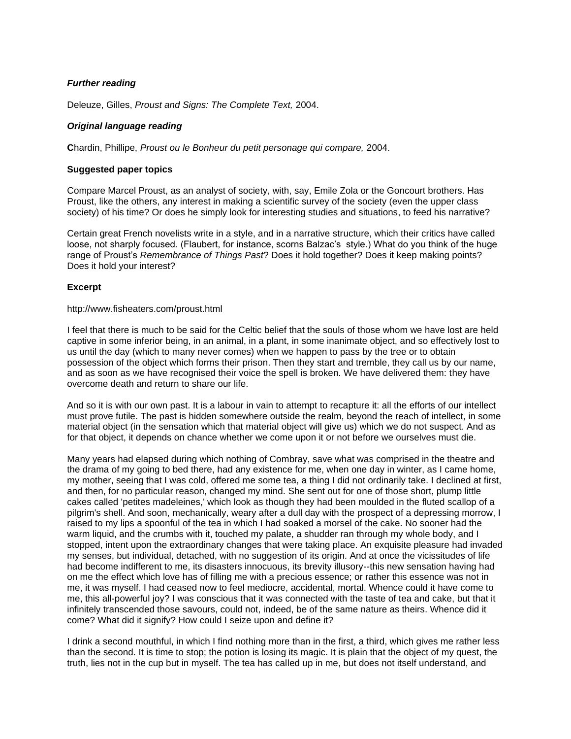# *Further reading*

Deleuze, Gilles, *Proust and Signs: The Complete Text,* 2004.

# *Original language reading*

**C**hardin, Phillipe, *Proust ou le Bonheur du petit personage qui compare,* 2004.

# **Suggested paper topics**

Compare Marcel Proust, as an analyst of society, with, say, Emile Zola or the Goncourt brothers. Has Proust, like the others, any interest in making a scientific survey of the society (even the upper class society) of his time? Or does he simply look for interesting studies and situations, to feed his narrative?

Certain great French novelists write in a style, and in a narrative structure, which their critics have called loose, not sharply focused. (Flaubert, for instance, scorns Balzac's style.) What do you think of the huge range of Proust's *Remembrance of Things Past*? Does it hold together? Does it keep making points? Does it hold your interest?

# **Excerpt**

#### http://www.fisheaters.com/proust.html

I feel that there is much to be said for the Celtic belief that the souls of those whom we have lost are held captive in some inferior being, in an animal, in a plant, in some inanimate object, and so effectively lost to us until the day (which to many never comes) when we happen to pass by the tree or to obtain possession of the object which forms their prison. Then they start and tremble, they call us by our name, and as soon as we have recognised their voice the spell is broken. We have delivered them: they have overcome death and return to share our life.

And so it is with our own past. It is a labour in vain to attempt to recapture it: all the efforts of our intellect must prove futile. The past is hidden somewhere outside the realm, beyond the reach of intellect, in some material object (in the sensation which that material object will give us) which we do not suspect. And as for that object, it depends on chance whether we come upon it or not before we ourselves must die.

Many years had elapsed during which nothing of Combray, save what was comprised in the theatre and the drama of my going to bed there, had any existence for me, when one day in winter, as I came home, my mother, seeing that I was cold, offered me some tea, a thing I did not ordinarily take. I declined at first, and then, for no particular reason, changed my mind. She sent out for one of those short, plump little cakes called 'petites madeleines,' which look as though they had been moulded in the fluted scallop of a pilgrim's shell. And soon, mechanically, weary after a dull day with the prospect of a depressing morrow, I raised to my lips a spoonful of the tea in which I had soaked a morsel of the cake. No sooner had the warm liquid, and the crumbs with it, touched my palate, a shudder ran through my whole body, and I stopped, intent upon the extraordinary changes that were taking place. An exquisite pleasure had invaded my senses, but individual, detached, with no suggestion of its origin. And at once the vicissitudes of life had become indifferent to me, its disasters innocuous, its brevity illusory--this new sensation having had on me the effect which love has of filling me with a precious essence; or rather this essence was not in me, it was myself. I had ceased now to feel mediocre, accidental, mortal. Whence could it have come to me, this all-powerful joy? I was conscious that it was connected with the taste of tea and cake, but that it infinitely transcended those savours, could not, indeed, be of the same nature as theirs. Whence did it come? What did it signify? How could I seize upon and define it?

I drink a second mouthful, in which I find nothing more than in the first, a third, which gives me rather less than the second. It is time to stop; the potion is losing its magic. It is plain that the object of my quest, the truth, lies not in the cup but in myself. The tea has called up in me, but does not itself understand, and